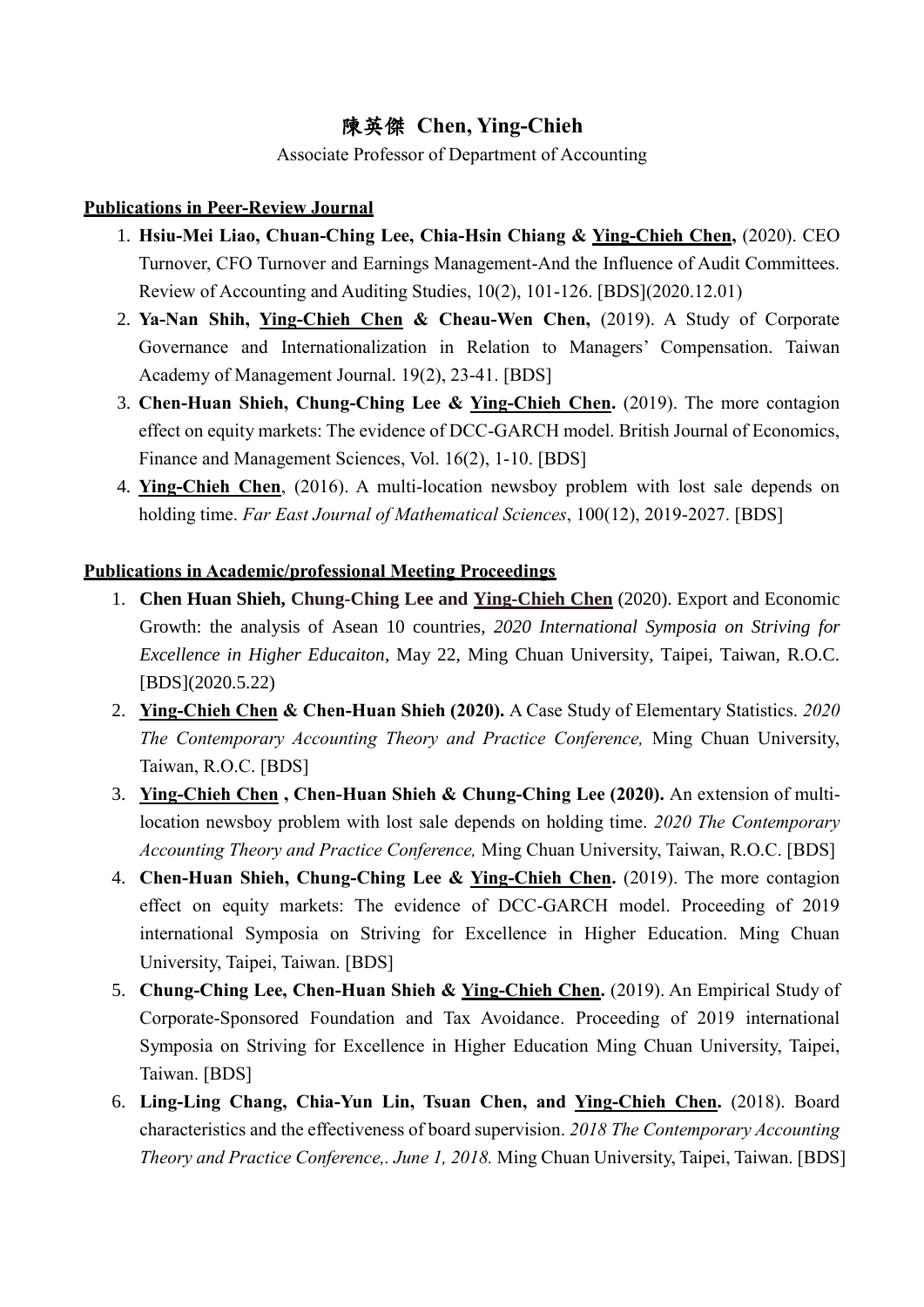## 陳英傑 **Chen, Ying-Chieh**

Associate Professor of Department of Accounting

## **Publications in Peer-Review Journal**

- 1. **Hsiu-Mei Liao, Chuan-Ching Lee, Chia-Hsin Chiang & Ying-Chieh Chen,** (2020). CEO Turnover, CFO Turnover and Earnings Management-And the Influence of Audit Committees. Review of Accounting and Auditing Studies, 10(2), 101-126. [BDS](2020.12.01)
- 2. **Ya-Nan Shih, Ying-Chieh Chen & Cheau-Wen Chen,** (2019). A Study of Corporate Governance and Internationalization in Relation to Managers' Compensation. Taiwan Academy of Management Journal. 19(2), 23-41. [BDS]
- 3. **Chen-Huan Shieh, Chung-Ching Lee & Ying-Chieh Chen.** (2019). The more contagion effect on equity markets: The evidence of DCC-GARCH model. British Journal of Economics, Finance and Management Sciences, Vol. 16(2), 1-10. [BDS]
- 4. **Ying-Chieh Chen**, (2016). A multi-location newsboy problem with lost sale depends on holding time. *Far East Journal of Mathematical Sciences*, 100(12), 2019-2027. [BDS]

## **Publications in Academic/professional Meeting Proceedings**

- 1. **Chen Huan Shieh, Chung-Ching Lee and Ying-Chieh Chen** (2020). Export and Economic Growth: the analysis of Asean 10 countries, *2020 International Symposia on Striving for Excellence in Higher Educaiton*, May 22, Ming Chuan University, Taipei, Taiwan, R.O.C. [BDS](2020.5.22)
- 2. **Ying-Chieh Chen & Chen-Huan Shieh (2020).** A Case Study of Elementary Statistics. *2020 The Contemporary Accounting Theory and Practice Conference,* Ming Chuan University, Taiwan, R.O.C. [BDS]
- 3. **Ying-Chieh Chen , Chen-Huan Shieh & Chung-Ching Lee (2020).** An extension of multilocation newsboy problem with lost sale depends on holding time. *2020 The Contemporary Accounting Theory and Practice Conference,* Ming Chuan University, Taiwan, R.O.C. [BDS]
- 4. **Chen-Huan Shieh, Chung-Ching Lee & Ying-Chieh Chen.** (2019). The more contagion effect on equity markets: The evidence of DCC-GARCH model. Proceeding of 2019 international Symposia on Striving for Excellence in Higher Education. Ming Chuan University, Taipei, Taiwan. [BDS]
- 5. **Chung-Ching Lee, Chen-Huan Shieh & Ying-Chieh Chen.** (2019). An Empirical Study of Corporate-Sponsored Foundation and Tax Avoidance. Proceeding of 2019 international Symposia on Striving for Excellence in Higher Education Ming Chuan University, Taipei, Taiwan. [BDS]
- 6. **Ling-Ling Chang, Chia-Yun Lin, Tsuan Chen, and Ying-Chieh Chen.** (2018). Board characteristics and the effectiveness of board supervision. *2018 The Contemporary Accounting Theory and Practice Conference,. June 1, 2018.* Ming Chuan University, Taipei, Taiwan. [BDS]